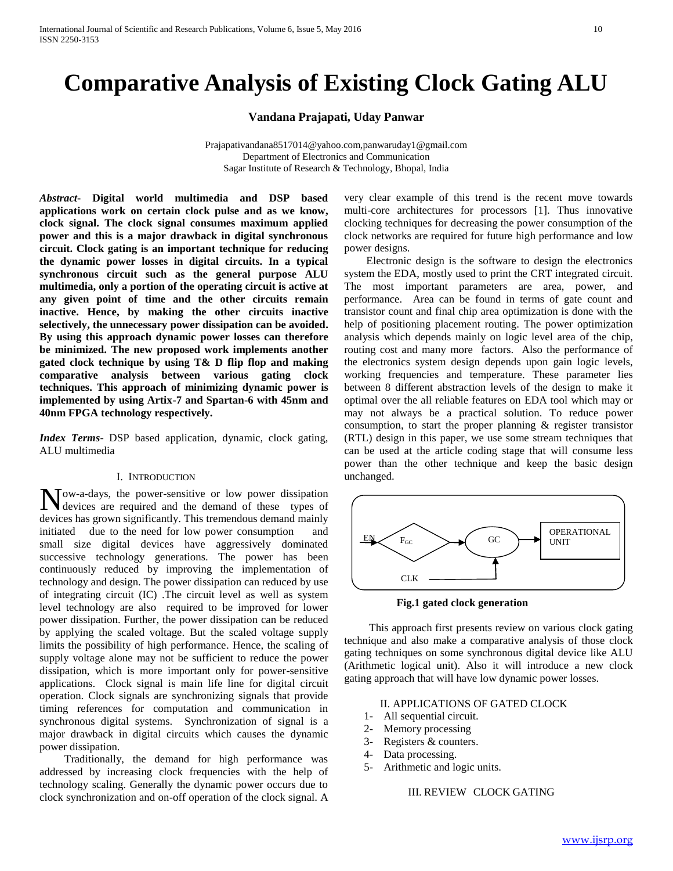# **Comparative Analysis of Existing Clock Gating ALU**

**Vandana Prajapati, Uday Panwar**

Prajapativandana8517014@yahoo.com,panwaruday1@gmail.com Department of Electronics and Communication Sagar Institute of Research & Technology, Bhopal, India

*Abstract***- Digital world multimedia and DSP based applications work on certain clock pulse and as we know, clock signal. The clock signal consumes maximum applied power and this is a major drawback in digital synchronous circuit. Clock gating is an important technique for reducing the dynamic power losses in digital circuits. In a typical synchronous circuit such as the general purpose ALU multimedia, only a portion of the operating circuit is active at any given point of time and the other circuits remain inactive. Hence, by making the other circuits inactive selectively, the unnecessary power dissipation can be avoided. By using this approach dynamic power losses can therefore be minimized. The new proposed work implements another gated clock technique by using T& D flip flop and making comparative analysis between various gating clock techniques. This approach of minimizing dynamic power is implemented by using Artix-7 and Spartan-6 with 45nm and 40nm FPGA technology respectively.** 

*Index Terms*- DSP based application, dynamic, clock gating, ALU multimedia

#### I. INTRODUCTION

ow-a-days, the power-sensitive or low power dissipation Now-a-days, the power-sensitive or low power dissipation<br>devices are required and the demand of these types of devices has grown significantly. This tremendous demand mainly initiated due to the need for low power consumption and small size digital devices have aggressively dominated successive technology generations. The power has been continuously reduced by improving the implementation of technology and design. The power dissipation can reduced by use of integrating circuit (IC) .The circuit level as well as system level technology are also required to be improved for lower power dissipation. Further, the power dissipation can be reduced by applying the scaled voltage. But the scaled voltage supply limits the possibility of high performance. Hence, the scaling of supply voltage alone may not be sufficient to reduce the power dissipation, which is more important only for power-sensitive applications. Clock signal is main life line for digital circuit operation. Clock signals are synchronizing signals that provide timing references for computation and communication in synchronous digital systems. Synchronization of signal is a major drawback in digital circuits which causes the dynamic power dissipation.

 Traditionally, the demand for high performance was addressed by increasing clock frequencies with the help of technology scaling. Generally the dynamic power occurs due to clock synchronization and on-off operation of the clock signal. A

very clear example of this trend is the recent move towards multi-core architectures for processors [1]. Thus innovative clocking techniques for decreasing the power consumption of the clock networks are required for future high performance and low power designs.

 Electronic design is the software to design the electronics system the EDA, mostly used to print the CRT integrated circuit. The most important parameters are area, power, and performance. Area can be found in terms of gate count and transistor count and final chip area optimization is done with the help of positioning placement routing. The power optimization analysis which depends mainly on logic level area of the chip, routing cost and many more factors. Also the performance of the electronics system design depends upon gain logic levels, working frequencies and temperature. These parameter lies between 8 different abstraction levels of the design to make it optimal over the all reliable features on EDA tool which may or may not always be a practical solution. To reduce power consumption, to start the proper planning & register transistor (RTL) design in this paper, we use some stream techniques that can be used at the article coding stage that will consume less power than the other technique and keep the basic design unchanged.



 **Fig.1 gated clock generation**

 This approach first presents review on various clock gating technique and also make a comparative analysis of those clock gating techniques on some synchronous digital device like ALU (Arithmetic logical unit). Also it will introduce a new clock gating approach that will have low dynamic power losses.

## II. APPLICATIONS OF GATED CLOCK

- 1- All sequential circuit.
- 2- Memory processing
- 3- Registers & counters.
- 4- Data processing.
- 5- Arithmetic and logic units.

# III. REVIEW CLOCK GATING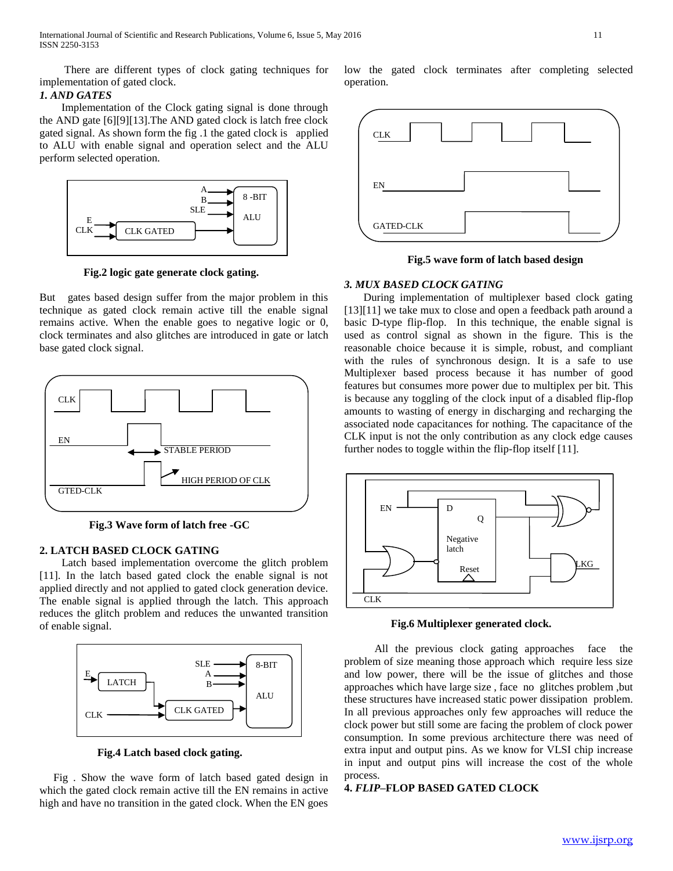International Journal of Scientific and Research Publications, Volume 6, Issue 5, May 2016 11 ISSN 2250-3153

 There are different types of clock gating techniques for implementation of gated clock.

### *1. AND GATES*

 Implementation of the Clock gating signal is done through the AND gate [6][9][13].The AND gated clock is latch free clock gated signal. As shown form the fig .1 the gated clock is applied to ALU with enable signal and operation select and the ALU perform selected operation.



**Fig.2 logic gate generate clock gating.**

But gates based design suffer from the major problem in this technique as gated clock remain active till the enable signal remains active. When the enable goes to negative logic or 0, clock terminates and also glitches are introduced in gate or latch base gated clock signal.



 **Fig.3 Wave form of latch free -GC**

# **2. LATCH BASED CLOCK GATING**

 Latch based implementation overcome the glitch problem [11]. In the latch based gated clock the enable signal is not applied directly and not applied to gated clock generation device. The enable signal is applied through the latch. This approach reduces the glitch problem and reduces the unwanted transition of enable signal.



 **Fig.4 Latch based clock gating.**

Fig. Show the wave form of latch based gated design in which the gated clock remain active till the EN remains in active high and have no transition in the gated clock. When the EN goes

low the gated clock terminates after completing selected operation.



 **Fig.5 wave form of latch based design**

# *3. MUX BASED CLOCK GATING*

 During implementation of multiplexer based clock gating [13][11] we take mux to close and open a feedback path around a basic D-type flip-flop. In this technique, the enable signal is used as control signal as shown in the figure. This is the reasonable choice because it is simple, robust, and compliant with the rules of synchronous design. It is a safe to use Multiplexer based process because it has number of good features but consumes more power due to multiplex per bit. This is because any toggling of the clock input of a disabled flip-flop amounts to wasting of energy in discharging and recharging the associated node capacitances for nothing. The capacitance of the CLK input is not the only contribution as any clock edge causes further nodes to toggle within the flip-flop itself [11].



**Fig.6 Multiplexer generated clock.**

 All the previous clock gating approaches face the problem of size meaning those approach which require less size and low power, there will be the issue of glitches and those approaches which have large size , face no glitches problem ,but these structures have increased static power dissipation problem. In all previous approaches only few approaches will reduce the clock power but still some are facing the problem of clock power consumption. In some previous architecture there was need of extra input and output pins. As we know for VLSI chip increase in input and output pins will increase the cost of the whole process.

# **4.** *FLIP***–FLOP BASED GATED CLOCK**